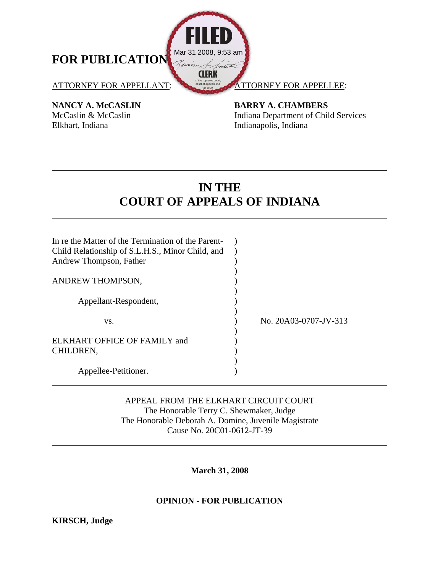

Elkhart, Indiana Indianapolis, Indiana

**NANCY A. McCASLIN BARRY A. CHAMBERS** McCaslin & McCaslin Indiana Department of Child Services

# **IN THE COURT OF APPEALS OF INDIANA**

| In re the Matter of the Termination of the Parent-<br>Child Relationship of S.L.H.S., Minor Child, and<br>Andrew Thompson, Father |                       |
|-----------------------------------------------------------------------------------------------------------------------------------|-----------------------|
| ANDREW THOMPSON,                                                                                                                  |                       |
| Appellant-Respondent,                                                                                                             |                       |
| VS.                                                                                                                               | No. 20A03-0707-JV-313 |
| ELKHART OFFICE OF FAMILY and                                                                                                      |                       |
| CHILDREN,                                                                                                                         |                       |
| Appellee-Petitioner.                                                                                                              |                       |

# APPEAL FROM THE ELKHART CIRCUIT COURT The Honorable Terry C. Shewmaker, Judge The Honorable Deborah A. Domine, Juvenile Magistrate Cause No. 20C01-0612-JT-39

# **March 31, 2008**

# **OPINION - FOR PUBLICATION**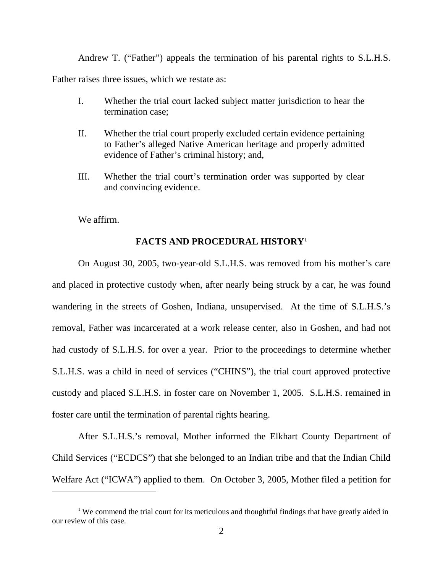Andrew T. ("Father") appeals the termination of his parental rights to S.L.H.S.

Father raises three issues, which we restate as:

- I. Whether the trial court lacked subject matter jurisdiction to hear the termination case;
- II. Whether the trial court properly excluded certain evidence pertaining to Father's alleged Native American heritage and properly admitted evidence of Father's criminal history; and,
- III. Whether the trial court's termination order was supported by clear and convincing evidence.

We affirm.

 $\overline{a}$ 

## **FACTS AND PROCEDURAL HISTORY[1](#page-1-0)**

 On August 30, 2005, two-year-old S.L.H.S. was removed from his mother's care and placed in protective custody when, after nearly being struck by a car, he was found wandering in the streets of Goshen, Indiana, unsupervised. At the time of S.L.H.S.'s removal, Father was incarcerated at a work release center, also in Goshen, and had not had custody of S.L.H.S. for over a year. Prior to the proceedings to determine whether S.L.H.S. was a child in need of services ("CHINS"), the trial court approved protective custody and placed S.L.H.S. in foster care on November 1, 2005. S.L.H.S. remained in foster care until the termination of parental rights hearing.

 After S.L.H.S.'s removal, Mother informed the Elkhart County Department of Child Services ("ECDCS") that she belonged to an Indian tribe and that the Indian Child Welfare Act ("ICWA") applied to them. On October 3, 2005, Mother filed a petition for

<span id="page-1-0"></span><sup>&</sup>lt;sup>1</sup> We commend the trial court for its meticulous and thoughtful findings that have greatly aided in our review of this case.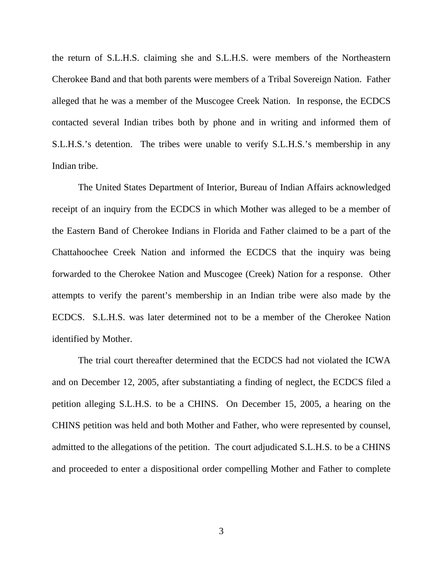the return of S.L.H.S. claiming she and S.L.H.S. were members of the Northeastern Cherokee Band and that both parents were members of a Tribal Sovereign Nation. Father alleged that he was a member of the Muscogee Creek Nation. In response, the ECDCS contacted several Indian tribes both by phone and in writing and informed them of S.L.H.S.'s detention. The tribes were unable to verify S.L.H.S.'s membership in any Indian tribe.

 The United States Department of Interior, Bureau of Indian Affairs acknowledged receipt of an inquiry from the ECDCS in which Mother was alleged to be a member of the Eastern Band of Cherokee Indians in Florida and Father claimed to be a part of the Chattahoochee Creek Nation and informed the ECDCS that the inquiry was being forwarded to the Cherokee Nation and Muscogee (Creek) Nation for a response. Other attempts to verify the parent's membership in an Indian tribe were also made by the ECDCS. S.L.H.S. was later determined not to be a member of the Cherokee Nation identified by Mother.

The trial court thereafter determined that the ECDCS had not violated the ICWA and on December 12, 2005, after substantiating a finding of neglect, the ECDCS filed a petition alleging S.L.H.S. to be a CHINS. On December 15, 2005, a hearing on the CHINS petition was held and both Mother and Father, who were represented by counsel, admitted to the allegations of the petition. The court adjudicated S.L.H.S. to be a CHINS and proceeded to enter a dispositional order compelling Mother and Father to complete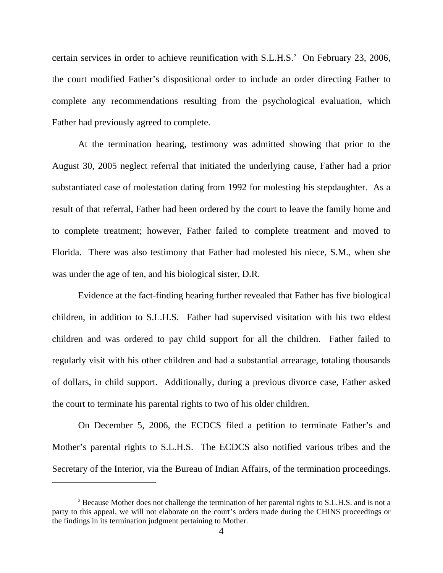certain services in order to achieve reunification with S.L.H.S.<sup>[2](#page-3-0)</sup> On February 23, 2006, the court modified Father's dispositional order to include an order directing Father to complete any recommendations resulting from the psychological evaluation, which Father had previously agreed to complete.

 At the termination hearing, testimony was admitted showing that prior to the August 30, 2005 neglect referral that initiated the underlying cause, Father had a prior substantiated case of molestation dating from 1992 for molesting his stepdaughter. As a result of that referral, Father had been ordered by the court to leave the family home and to complete treatment; however, Father failed to complete treatment and moved to Florida. There was also testimony that Father had molested his niece, S.M., when she was under the age of ten, and his biological sister, D.R.

 Evidence at the fact-finding hearing further revealed that Father has five biological children, in addition to S.L.H.S. Father had supervised visitation with his two eldest children and was ordered to pay child support for all the children. Father failed to regularly visit with his other children and had a substantial arrearage, totaling thousands of dollars, in child support. Additionally, during a previous divorce case, Father asked the court to terminate his parental rights to two of his older children.

 On December 5, 2006, the ECDCS filed a petition to terminate Father's and Mother's parental rights to S.L.H.S. The ECDCS also notified various tribes and the Secretary of the Interior, via the Bureau of Indian Affairs, of the termination proceedings.

<span id="page-3-0"></span> $2^2$  Because Mother does not challenge the termination of her parental rights to S.L.H.S. and is not a party to this appeal, we will not elaborate on the court's orders made during the CHINS proceedings or the findings in its termination judgment pertaining to Mother.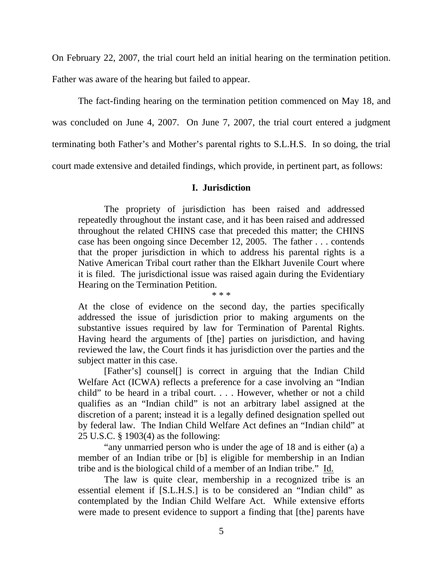On February 22, 2007, the trial court held an initial hearing on the termination petition.

Father was aware of the hearing but failed to appear.

 The fact-finding hearing on the termination petition commenced on May 18, and was concluded on June 4, 2007. On June 7, 2007, the trial court entered a judgment terminating both Father's and Mother's parental rights to S.L.H.S. In so doing, the trial court made extensive and detailed findings, which provide, in pertinent part, as follows:

## **I. Jurisdiction**

 The propriety of jurisdiction has been raised and addressed repeatedly throughout the instant case, and it has been raised and addressed throughout the related CHINS case that preceded this matter; the CHINS case has been ongoing since December 12, 2005. The father . . . contends that the proper jurisdiction in which to address his parental rights is a Native American Tribal court rather than the Elkhart Juvenile Court where it is filed. The jurisdictional issue was raised again during the Evidentiary Hearing on the Termination Petition. \* \* \*

At the close of evidence on the second day, the parties specifically addressed the issue of jurisdiction prior to making arguments on the substantive issues required by law for Termination of Parental Rights. Having heard the arguments of [the] parties on jurisdiction, and having reviewed the law, the Court finds it has jurisdiction over the parties and the subject matter in this case.

 [Father's] counsel[] is correct in arguing that the Indian Child Welfare Act (ICWA) reflects a preference for a case involving an "Indian child" to be heard in a tribal court. . . . However, whether or not a child qualifies as an "Indian child" is not an arbitrary label assigned at the discretion of a parent; instead it is a legally defined designation spelled out by federal law. The Indian Child Welfare Act defines an "Indian child" at 25 U.S.C. § 1903(4) as the following:

 "any unmarried person who is under the age of 18 and is either (a) a member of an Indian tribe or [b] is eligible for membership in an Indian tribe and is the biological child of a member of an Indian tribe." Id.

 The law is quite clear, membership in a recognized tribe is an essential element if [S.L.H.S.] is to be considered an "Indian child" as contemplated by the Indian Child Welfare Act. While extensive efforts were made to present evidence to support a finding that [the] parents have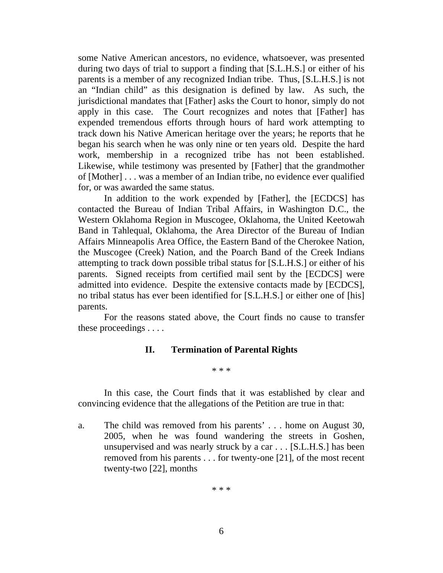some Native American ancestors, no evidence, whatsoever, was presented during two days of trial to support a finding that [S.L.H.S.] or either of his parents is a member of any recognized Indian tribe. Thus, [S.L.H.S.] is not an "Indian child" as this designation is defined by law. As such, the jurisdictional mandates that [Father] asks the Court to honor, simply do not apply in this case. The Court recognizes and notes that [Father] has expended tremendous efforts through hours of hard work attempting to track down his Native American heritage over the years; he reports that he began his search when he was only nine or ten years old. Despite the hard work, membership in a recognized tribe has not been established. Likewise, while testimony was presented by [Father] that the grandmother of [Mother] . . . was a member of an Indian tribe, no evidence ever qualified for, or was awarded the same status.

 In addition to the work expended by [Father], the [ECDCS] has contacted the Bureau of Indian Tribal Affairs, in Washington D.C., the Western Oklahoma Region in Muscogee, Oklahoma, the United Keetowah Band in Tahlequal, Oklahoma, the Area Director of the Bureau of Indian Affairs Minneapolis Area Office, the Eastern Band of the Cherokee Nation, the Muscogee (Creek) Nation, and the Poarch Band of the Creek Indians attempting to track down possible tribal status for [S.L.H.S.] or either of his parents. Signed receipts from certified mail sent by the [ECDCS] were admitted into evidence. Despite the extensive contacts made by [ECDCS], no tribal status has ever been identified for [S.L.H.S.] or either one of [his] parents.

 For the reasons stated above, the Court finds no cause to transfer these proceedings . . . .

## **II. Termination of Parental Rights**

\* \* \*

 In this case, the Court finds that it was established by clear and convincing evidence that the allegations of the Petition are true in that:

a. The child was removed from his parents' . . . home on August 30, 2005, when he was found wandering the streets in Goshen, unsupervised and was nearly struck by a car . . . [S.L.H.S.] has been removed from his parents . . . for twenty-one [21], of the most recent twenty-two [22], months

\* \* \*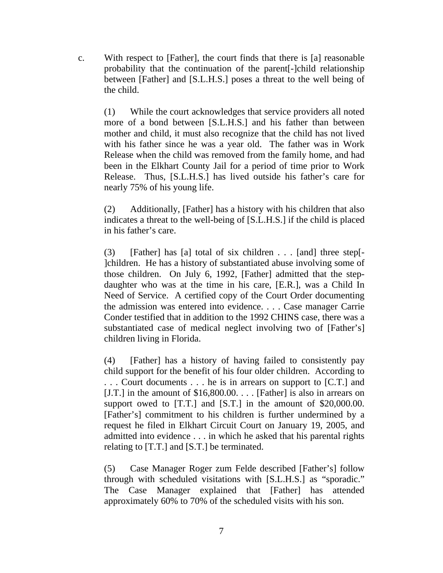c. With respect to [Father], the court finds that there is [a] reasonable probability that the continuation of the parent[-]child relationship between [Father] and [S.L.H.S.] poses a threat to the well being of the child.

(1) While the court acknowledges that service providers all noted more of a bond between [S.L.H.S.] and his father than between mother and child, it must also recognize that the child has not lived with his father since he was a year old. The father was in Work Release when the child was removed from the family home, and had been in the Elkhart County Jail for a period of time prior to Work Release. Thus, [S.L.H.S.] has lived outside his father's care for nearly 75% of his young life.

(2) Additionally, [Father] has a history with his children that also indicates a threat to the well-being of [S.L.H.S.] if the child is placed in his father's care.

(3) [Father] has [a] total of six children  $\dots$  [and] three step[-]children. He has a history of substantiated abuse involving some of those children. On July 6, 1992, [Father] admitted that the stepdaughter who was at the time in his care, [E.R.], was a Child In Need of Service. A certified copy of the Court Order documenting the admission was entered into evidence. . . . Case manager Carrie Conder testified that in addition to the 1992 CHINS case, there was a substantiated case of medical neglect involving two of [Father's] children living in Florida.

(4) [Father] has a history of having failed to consistently pay child support for the benefit of his four older children. According to . . . Court documents . . . he is in arrears on support to [C.T.] and [J.T.] in the amount of \$16,800.00. . . . [Father] is also in arrears on support owed to [T.T.] and [S.T.] in the amount of \$20,000.00. [Father's] commitment to his children is further undermined by a request he filed in Elkhart Circuit Court on January 19, 2005, and admitted into evidence . . . in which he asked that his parental rights relating to [T.T.] and [S.T.] be terminated.

(5) Case Manager Roger zum Felde described [Father's] follow through with scheduled visitations with [S.L.H.S.] as "sporadic." The Case Manager explained that [Father] has attended approximately 60% to 70% of the scheduled visits with his son.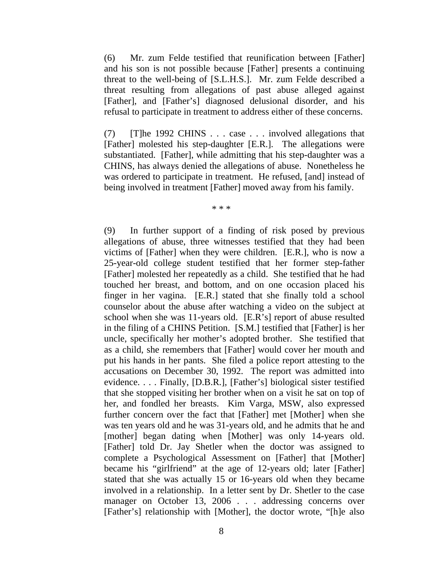(6) Mr. zum Felde testified that reunification between [Father] and his son is not possible because [Father] presents a continuing threat to the well-being of [S.L.H.S.]. Mr. zum Felde described a threat resulting from allegations of past abuse alleged against [Father], and [Father's] diagnosed delusional disorder, and his refusal to participate in treatment to address either of these concerns.

(7) [T]he 1992 CHINS . . . case . . . involved allegations that [Father] molested his step-daughter [E.R.]. The allegations were substantiated. [Father], while admitting that his step-daughter was a CHINS, has always denied the allegations of abuse. Nonetheless he was ordered to participate in treatment. He refused, [and] instead of being involved in treatment [Father] moved away from his family.

\* \* \*

(9) In further support of a finding of risk posed by previous allegations of abuse, three witnesses testified that they had been victims of [Father] when they were children. [E.R.], who is now a 25-year-old college student testified that her former step-father [Father] molested her repeatedly as a child. She testified that he had touched her breast, and bottom, and on one occasion placed his finger in her vagina. [E.R.] stated that she finally told a school counselor about the abuse after watching a video on the subject at school when she was 11-years old. [E.R's] report of abuse resulted in the filing of a CHINS Petition. [S.M.] testified that [Father] is her uncle, specifically her mother's adopted brother. She testified that as a child, she remembers that [Father] would cover her mouth and put his hands in her pants. She filed a police report attesting to the accusations on December 30, 1992. The report was admitted into evidence. . . . Finally, [D.B.R.], [Father's] biological sister testified that she stopped visiting her brother when on a visit he sat on top of her, and fondled her breasts. Kim Varga, MSW, also expressed further concern over the fact that [Father] met [Mother] when she was ten years old and he was 31-years old, and he admits that he and [mother] began dating when [Mother] was only 14-years old. [Father] told Dr. Jay Shetler when the doctor was assigned to complete a Psychological Assessment on [Father] that [Mother] became his "girlfriend" at the age of 12-years old; later [Father] stated that she was actually 15 or 16-years old when they became involved in a relationship. In a letter sent by Dr. Shetler to the case manager on October 13, 2006 . . . addressing concerns over [Father's] relationship with [Mother], the doctor wrote, "[h]e also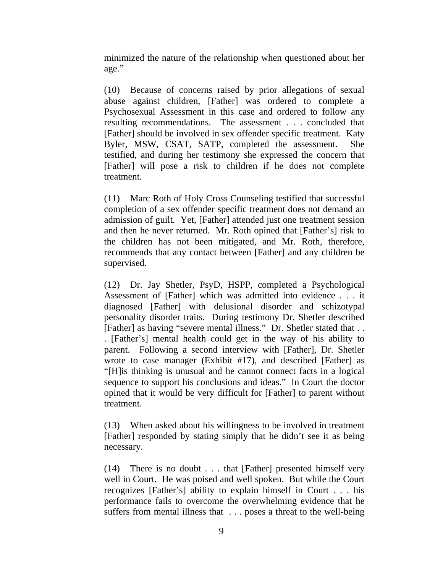minimized the nature of the relationship when questioned about her age."

(10) Because of concerns raised by prior allegations of sexual abuse against children, [Father] was ordered to complete a Psychosexual Assessment in this case and ordered to follow any resulting recommendations. The assessment . . . concluded that [Father] should be involved in sex offender specific treatment. Katy Byler, MSW, CSAT, SATP, completed the assessment. She testified, and during her testimony she expressed the concern that [Father] will pose a risk to children if he does not complete treatment.

(11) Marc Roth of Holy Cross Counseling testified that successful completion of a sex offender specific treatment does not demand an admission of guilt. Yet, [Father] attended just one treatment session and then he never returned. Mr. Roth opined that [Father's] risk to the children has not been mitigated, and Mr. Roth, therefore, recommends that any contact between [Father] and any children be supervised.

(12) Dr. Jay Shetler, PsyD, HSPP, completed a Psychological Assessment of [Father] which was admitted into evidence . . . it diagnosed [Father] with delusional disorder and schizotypal personality disorder traits. During testimony Dr. Shetler described [Father] as having "severe mental illness." Dr. Shetler stated that . . . [Father's] mental health could get in the way of his ability to parent. Following a second interview with [Father], Dr. Shetler wrote to case manager (Exhibit #17), and described [Father] as "[H]is thinking is unusual and he cannot connect facts in a logical sequence to support his conclusions and ideas." In Court the doctor opined that it would be very difficult for [Father] to parent without treatment.

(13) When asked about his willingness to be involved in treatment [Father] responded by stating simply that he didn't see it as being necessary.

(14) There is no doubt . . . that [Father] presented himself very well in Court. He was poised and well spoken. But while the Court recognizes [Father's] ability to explain himself in Court . . . his performance fails to overcome the overwhelming evidence that he suffers from mental illness that . . . poses a threat to the well-being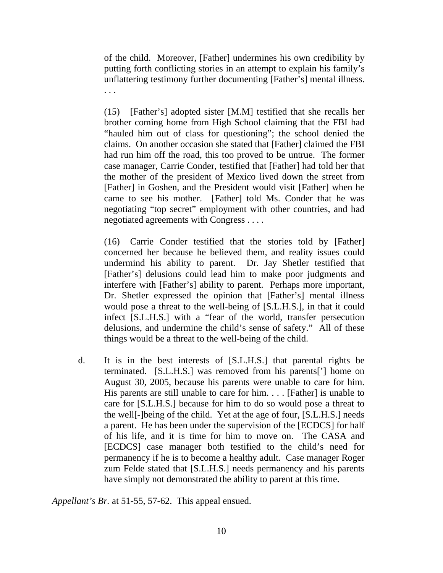of the child. Moreover, [Father] undermines his own credibility by putting forth conflicting stories in an attempt to explain his family's unflattering testimony further documenting [Father's] mental illness. . . .

(15) [Father's] adopted sister [M.M] testified that she recalls her brother coming home from High School claiming that the FBI had "hauled him out of class for questioning"; the school denied the claims. On another occasion she stated that [Father] claimed the FBI had run him off the road, this too proved to be untrue. The former case manager, Carrie Conder, testified that [Father] had told her that the mother of the president of Mexico lived down the street from [Father] in Goshen, and the President would visit [Father] when he came to see his mother. [Father] told Ms. Conder that he was negotiating "top secret" employment with other countries, and had negotiated agreements with Congress . . . .

(16) Carrie Conder testified that the stories told by [Father] concerned her because he believed them, and reality issues could undermind his ability to parent. Dr. Jay Shetler testified that [Father's] delusions could lead him to make poor judgments and interfere with [Father's] ability to parent. Perhaps more important, Dr. Shetler expressed the opinion that [Father's] mental illness would pose a threat to the well-being of [S.L.H.S.], in that it could infect [S.L.H.S.] with a "fear of the world, transfer persecution delusions, and undermine the child's sense of safety." All of these things would be a threat to the well-being of the child.

d. It is in the best interests of [S.L.H.S.] that parental rights be terminated. [S.L.H.S.] was removed from his parents['] home on August 30, 2005, because his parents were unable to care for him. His parents are still unable to care for him. . . . [Father] is unable to care for [S.L.H.S.] because for him to do so would pose a threat to the well[-]being of the child. Yet at the age of four, [S.L.H.S.] needs a parent. He has been under the supervision of the [ECDCS] for half of his life, and it is time for him to move on. The CASA and [ECDCS] case manager both testified to the child's need for permanency if he is to become a healthy adult. Case manager Roger zum Felde stated that [S.L.H.S.] needs permanency and his parents have simply not demonstrated the ability to parent at this time.

*Appellant's Br.* at 51-55, 57-62. This appeal ensued.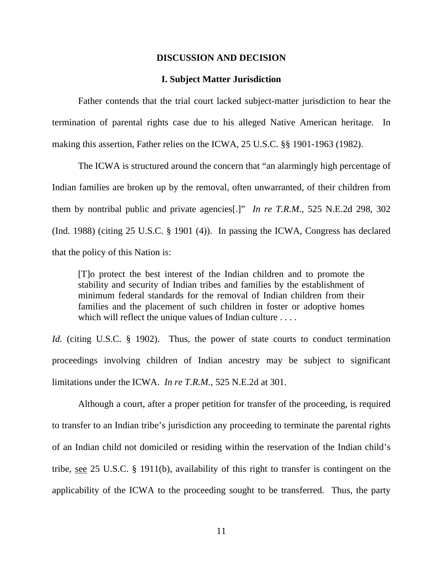#### **DISCUSSION AND DECISION**

#### **I. Subject Matter Jurisdiction**

 Father contends that the trial court lacked subject-matter jurisdiction to hear the termination of parental rights case due to his alleged Native American heritage. In making this assertion, Father relies on the ICWA, 25 U.S.C. §§ 1901-1963 (1982).

 The ICWA is structured around the concern that "an alarmingly high percentage of Indian families are broken up by the removal, often unwarranted, of their children from them by nontribal public and private agencies[.]" *In re T.R.M.*, 525 N.E.2d 298, 302 (Ind. 1988) (citing 25 U.S.C. § 1901 (4)). In passing the ICWA, Congress has declared that the policy of this Nation is:

[T]o protect the best interest of the Indian children and to promote the stability and security of Indian tribes and families by the establishment of minimum federal standards for the removal of Indian children from their families and the placement of such children in foster or adoptive homes which will reflect the unique values of Indian culture . . . .

*Id.* (citing U.S.C. § 1902). Thus, the power of state courts to conduct termination proceedings involving children of Indian ancestry may be subject to significant limitations under the ICWA. *In re T.R.M.*, 525 N.E.2d at 301.

Although a court, after a proper petition for transfer of the proceeding, is required to transfer to an Indian tribe's jurisdiction any proceeding to terminate the parental rights of an Indian child not domiciled or residing within the reservation of the Indian child's tribe, see 25 U.S.C. § 1911(b), availability of this right to transfer is contingent on the applicability of the ICWA to the proceeding sought to be transferred. Thus, the party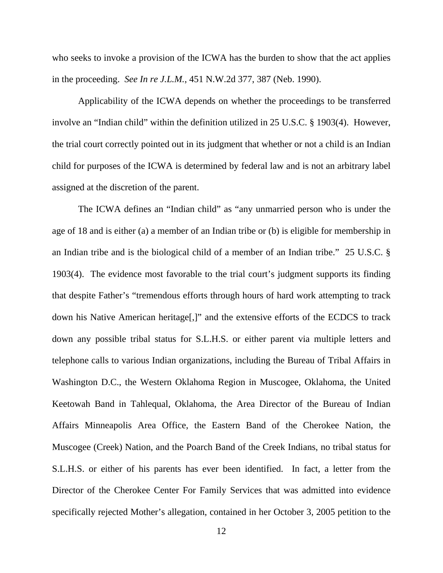who seeks to invoke a provision of the ICWA has the burden to show that the act applies in the proceeding. *See In re J.L.M.*, 451 N.W.2d 377, 387 (Neb. 1990).

Applicability of the ICWA depends on whether the proceedings to be transferred involve an "Indian child" within the definition utilized in 25 U.S.C. § 1903(4). However, the trial court correctly pointed out in its judgment that whether or not a child is an Indian child for purposes of the ICWA is determined by federal law and is not an arbitrary label assigned at the discretion of the parent.

The ICWA defines an "Indian child" as "any unmarried person who is under the age of 18 and is either (a) a member of an Indian tribe or (b) is eligible for membership in an Indian tribe and is the biological child of a member of an Indian tribe." 25 U.S.C. § 1903(4). The evidence most favorable to the trial court's judgment supports its finding that despite Father's "tremendous efforts through hours of hard work attempting to track down his Native American heritage[,]" and the extensive efforts of the ECDCS to track down any possible tribal status for S.L.H.S. or either parent via multiple letters and telephone calls to various Indian organizations, including the Bureau of Tribal Affairs in Washington D.C., the Western Oklahoma Region in Muscogee, Oklahoma, the United Keetowah Band in Tahlequal, Oklahoma, the Area Director of the Bureau of Indian Affairs Minneapolis Area Office, the Eastern Band of the Cherokee Nation, the Muscogee (Creek) Nation, and the Poarch Band of the Creek Indians, no tribal status for S.L.H.S. or either of his parents has ever been identified. In fact, a letter from the Director of the Cherokee Center For Family Services that was admitted into evidence specifically rejected Mother's allegation, contained in her October 3, 2005 petition to the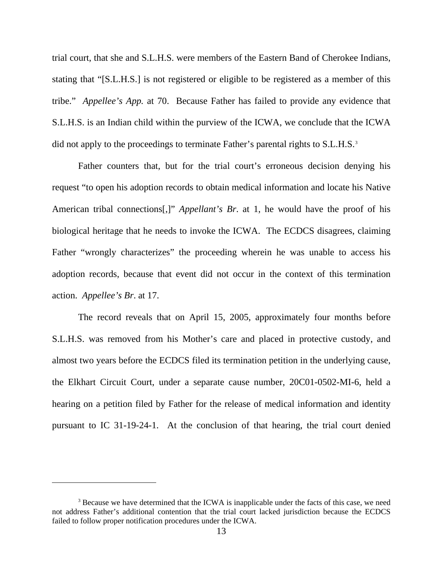trial court, that she and S.L.H.S. were members of the Eastern Band of Cherokee Indians, stating that "[S.L.H.S.] is not registered or eligible to be registered as a member of this tribe." *Appellee's App.* at 70. Because Father has failed to provide any evidence that S.L.H.S. is an Indian child within the purview of the ICWA, we conclude that the ICWA did not apply to the proceedings to terminate Father's parental rights to S.L.H.S.<sup>[3](#page-12-0)</sup>

 Father counters that, but for the trial court's erroneous decision denying his request "to open his adoption records to obtain medical information and locate his Native American tribal connections[,]" *Appellant's Br*. at 1, he would have the proof of his biological heritage that he needs to invoke the ICWA. The ECDCS disagrees, claiming Father "wrongly characterizes" the proceeding wherein he was unable to access his adoption records, because that event did not occur in the context of this termination action. *Appellee's Br*. at 17.

 The record reveals that on April 15, 2005, approximately four months before S.L.H.S. was removed from his Mother's care and placed in protective custody, and almost two years before the ECDCS filed its termination petition in the underlying cause, the Elkhart Circuit Court, under a separate cause number, 20C01-0502-MI-6, held a hearing on a petition filed by Father for the release of medical information and identity pursuant to IC 31-19-24-1. At the conclusion of that hearing, the trial court denied

<span id="page-12-0"></span><sup>&</sup>lt;sup>3</sup> Because we have determined that the ICWA is inapplicable under the facts of this case, we need not address Father's additional contention that the trial court lacked jurisdiction because the ECDCS failed to follow proper notification procedures under the ICWA.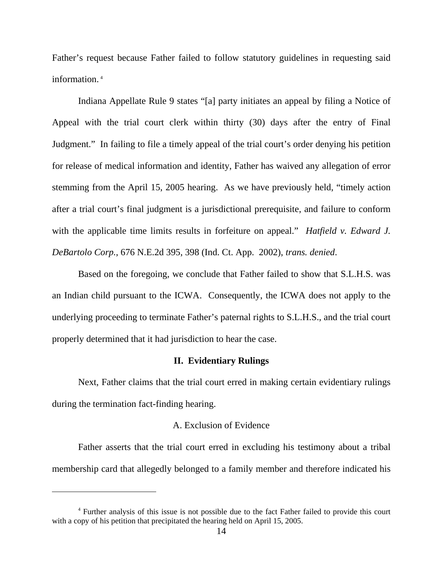Father's request because Father failed to follow statutory guidelines in requesting said information. [4](#page-13-0)

 Indiana Appellate Rule 9 states "[a] party initiates an appeal by filing a Notice of Appeal with the trial court clerk within thirty (30) days after the entry of Final Judgment." In failing to file a timely appeal of the trial court's order denying his petition for release of medical information and identity, Father has waived any allegation of error stemming from the April 15, 2005 hearing. As we have previously held, "timely action after a trial court's final judgment is a jurisdictional prerequisite, and failure to conform with the applicable time limits results in forfeiture on appeal." *Hatfield v. Edward J. DeBartolo Corp.*, 676 N.E.2d 395, 398 (Ind. Ct. App. 2002), *trans. denied*.

 Based on the foregoing, we conclude that Father failed to show that S.L.H.S. was an Indian child pursuant to the ICWA. Consequently, the ICWA does not apply to the underlying proceeding to terminate Father's paternal rights to S.L.H.S., and the trial court properly determined that it had jurisdiction to hear the case.

#### **II. Evidentiary Rulings**

 Next, Father claims that the trial court erred in making certain evidentiary rulings during the termination fact-finding hearing.

## A. Exclusion of Evidence

 Father asserts that the trial court erred in excluding his testimony about a tribal membership card that allegedly belonged to a family member and therefore indicated his

 $\overline{a}$ 

<span id="page-13-0"></span><sup>4</sup> Further analysis of this issue is not possible due to the fact Father failed to provide this court with a copy of his petition that precipitated the hearing held on April 15, 2005.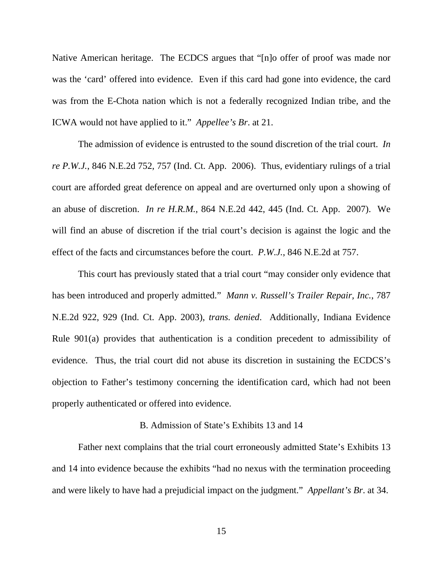Native American heritage. The ECDCS argues that "[n]o offer of proof was made nor was the 'card' offered into evidence. Even if this card had gone into evidence, the card was from the E-Chota nation which is not a federally recognized Indian tribe, and the ICWA would not have applied to it." *Appellee's Br*. at 21.

The admission of evidence is entrusted to the sound discretion of the trial court. *In re P.W.J.*, 846 N.E.2d 752, 757 (Ind. Ct. App. 2006). Thus, evidentiary rulings of a trial court are afforded great deference on appeal and are overturned only upon a showing of an abuse of discretion. *In re H.R.M.*, 864 N.E.2d 442, 445 (Ind. Ct. App. 2007). We will find an abuse of discretion if the trial court's decision is against the logic and the effect of the facts and circumstances before the court. *P.W.J.*, 846 N.E.2d at 757.

 This court has previously stated that a trial court "may consider only evidence that has been introduced and properly admitted." *Mann v. Russell's Trailer Repair, Inc.*, 787 N.E.2d 922, 929 (Ind. Ct. App. 2003), *trans. denied*. Additionally, Indiana Evidence Rule 901(a) provides that authentication is a condition precedent to admissibility of evidence. Thus, the trial court did not abuse its discretion in sustaining the ECDCS's objection to Father's testimony concerning the identification card, which had not been properly authenticated or offered into evidence.

## B. Admission of State's Exhibits 13 and 14

 Father next complains that the trial court erroneously admitted State's Exhibits 13 and 14 into evidence because the exhibits "had no nexus with the termination proceeding and were likely to have had a prejudicial impact on the judgment." *Appellant's Br*. at 34.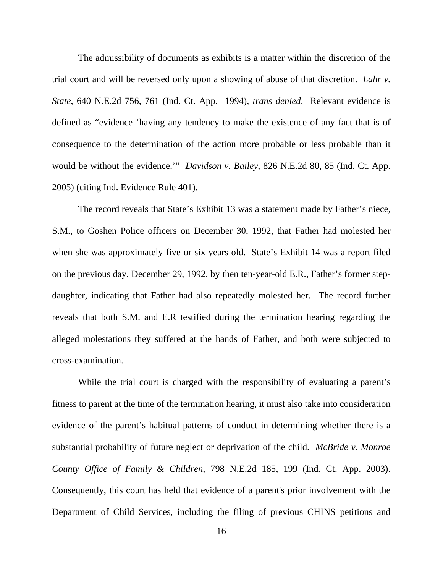The admissibility of documents as exhibits is a matter within the discretion of the trial court and will be reversed only upon a showing of abuse of that discretion. *Lahr v. State*, 640 N.E.2d 756, 761 (Ind. Ct. App. 1994), *trans denied*. Relevant evidence is defined as "evidence 'having any tendency to make the existence of any fact that is of consequence to the determination of the action more probable or less probable than it would be without the evidence.'" *Davidson v. Bailey*, 826 N.E.2d 80, 85 (Ind. Ct. App. 2005) (citing Ind. Evidence Rule 401).

The record reveals that State's Exhibit 13 was a statement made by Father's niece, S.M., to Goshen Police officers on December 30, 1992, that Father had molested her when she was approximately five or six years old. State's Exhibit 14 was a report filed on the previous day, December 29, 1992, by then ten-year-old E.R., Father's former stepdaughter, indicating that Father had also repeatedly molested her. The record further reveals that both S.M. and E.R testified during the termination hearing regarding the alleged molestations they suffered at the hands of Father, and both were subjected to cross-examination.

While the trial court is charged with the responsibility of evaluating a parent's fitness to parent at the time of the termination hearing, it must also take into consideration evidence of the parent's habitual patterns of conduct in determining whether there is a substantial probability of future neglect or deprivation of the child. *McBride v. Monroe County Office of Family & Children*, 798 N.E.2d 185, 199 (Ind. Ct. App. 2003). Consequently, this court has held that evidence of a parent's prior involvement with the Department of Child Services, including the filing of previous CHINS petitions and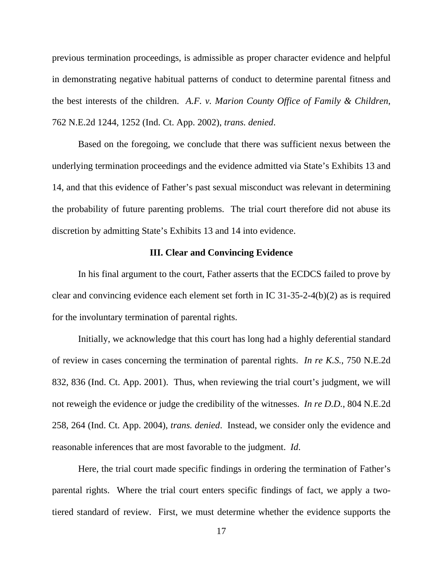previous termination proceedings, is admissible as proper character evidence and helpful in demonstrating negative habitual patterns of conduct to determine parental fitness and the best interests of the children. *A.F. v. Marion County Office of Family & Children*, 762 N.E.2d 1244, 1252 (Ind. Ct. App. 2002), *trans. denied*.

Based on the foregoing, we conclude that there was sufficient nexus between the underlying termination proceedings and the evidence admitted via State's Exhibits 13 and 14, and that this evidence of Father's past sexual misconduct was relevant in determining the probability of future parenting problems. The trial court therefore did not abuse its discretion by admitting State's Exhibits 13 and 14 into evidence.

## **III. Clear and Convincing Evidence**

 In his final argument to the court, Father asserts that the ECDCS failed to prove by clear and convincing evidence each element set forth in IC 31-35-2-4(b)(2) as is required for the involuntary termination of parental rights.

Initially, we acknowledge that this court has long had a highly deferential standard of review in cases concerning the termination of parental rights. *In re K.S.*, 750 N.E.2d 832, 836 (Ind. Ct. App. 2001). Thus, when reviewing the trial court's judgment, we will not reweigh the evidence or judge the credibility of the witnesses. *In re D.D.*, 804 N.E.2d 258, 264 (Ind. Ct. App. 2004), *trans. denied*. Instead, we consider only the evidence and reasonable inferences that are most favorable to the judgment. *Id*.

Here, the trial court made specific findings in ordering the termination of Father's parental rights. Where the trial court enters specific findings of fact, we apply a twotiered standard of review. First, we must determine whether the evidence supports the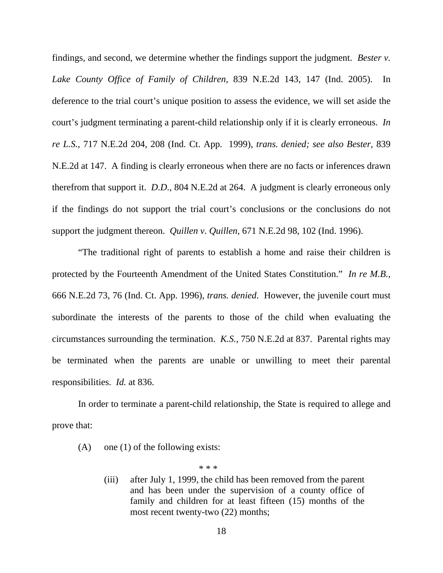findings, and second, we determine whether the findings support the judgment. *Bester v. Lake County Office of Family of Children*, 839 N.E.2d 143, 147 (Ind. 2005). In deference to the trial court's unique position to assess the evidence, we will set aside the court's judgment terminating a parent-child relationship only if it is clearly erroneous. *In re L.S.*, 717 N.E.2d 204, 208 (Ind. Ct. App. 1999), *trans. denied; see also Bester,* 839 N.E.2d at 147. A finding is clearly erroneous when there are no facts or inferences drawn therefrom that support it. *D.D.*, 804 N.E.2d at 264. A judgment is clearly erroneous only if the findings do not support the trial court's conclusions or the conclusions do not support the judgment thereon. *Quillen v. Quillen*, 671 N.E.2d 98, 102 (Ind. 1996).

"The traditional right of parents to establish a home and raise their children is protected by the Fourteenth Amendment of the United States Constitution." *In re M.B.*, 666 N.E.2d 73, 76 (Ind. Ct. App. 1996), *trans. denied*. However, the juvenile court must subordinate the interests of the parents to those of the child when evaluating the circumstances surrounding the termination. *K.S.*, 750 N.E.2d at 837. Parental rights may be terminated when the parents are unable or unwilling to meet their parental responsibilities. *Id.* at 836.

 In order to terminate a parent-child relationship, the State is required to allege and prove that:

(A) one (1) of the following exists:

\* \* \*

(iii) after July 1, 1999, the child has been removed from the parent and has been under the supervision of a county office of family and children for at least fifteen (15) months of the most recent twenty-two (22) months;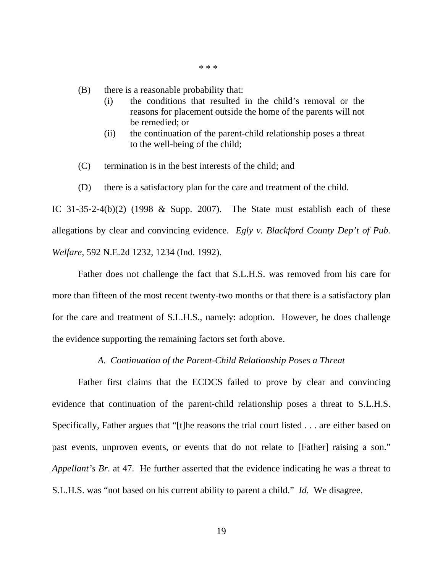\* \* \*

(B) there is a reasonable probability that:

- (i) the conditions that resulted in the child's removal or the reasons for placement outside the home of the parents will not be remedied; or
- (ii) the continuation of the parent-child relationship poses a threat to the well-being of the child;
- (C) termination is in the best interests of the child; and
- (D) there is a satisfactory plan for the care and treatment of the child.

IC 31-35-2-4(b)(2) (1998 & Supp. 2007). The State must establish each of these allegations by clear and convincing evidence. *Egly v. Blackford County Dep't of Pub. Welfare*, 592 N.E.2d 1232, 1234 (Ind. 1992).

Father does not challenge the fact that S.L.H.S. was removed from his care for more than fifteen of the most recent twenty-two months or that there is a satisfactory plan for the care and treatment of S.L.H.S., namely: adoption. However, he does challenge the evidence supporting the remaining factors set forth above.

#### *A. Continuation of the Parent-Child Relationship Poses a Threat*

 Father first claims that the ECDCS failed to prove by clear and convincing evidence that continuation of the parent-child relationship poses a threat to S.L.H.S. Specifically, Father argues that "[t]he reasons the trial court listed . . . are either based on past events, unproven events, or events that do not relate to [Father] raising a son." *Appellant's Br*. at 47. He further asserted that the evidence indicating he was a threat to S.L.H.S. was "not based on his current ability to parent a child." *Id.* We disagree.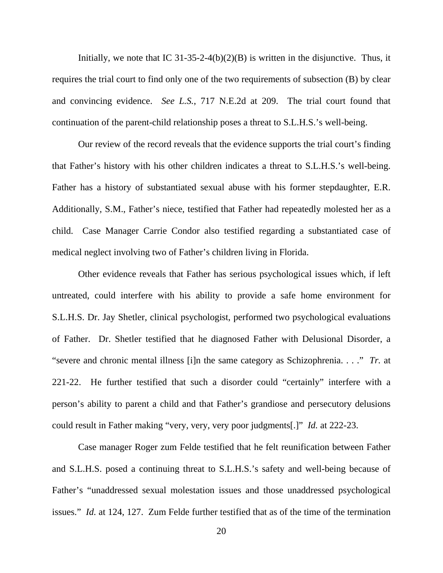Initially, we note that IC 31-35-2-4(b)(2)(B) is written in the disjunctive. Thus, it requires the trial court to find only one of the two requirements of subsection (B) by clear and convincing evidence. *See L.S.*, 717 N.E.2d at 209. The trial court found that continuation of the parent-child relationship poses a threat to S.L.H.S.'s well-being.

Our review of the record reveals that the evidence supports the trial court's finding that Father's history with his other children indicates a threat to S.L.H.S.'s well-being. Father has a history of substantiated sexual abuse with his former stepdaughter, E.R. Additionally, S.M., Father's niece, testified that Father had repeatedly molested her as a child. Case Manager Carrie Condor also testified regarding a substantiated case of medical neglect involving two of Father's children living in Florida.

Other evidence reveals that Father has serious psychological issues which, if left untreated, could interfere with his ability to provide a safe home environment for S.L.H.S. Dr. Jay Shetler, clinical psychologist, performed two psychological evaluations of Father. Dr. Shetler testified that he diagnosed Father with Delusional Disorder, a "severe and chronic mental illness [i]n the same category as Schizophrenia. . . ." *Tr.* at 221-22. He further testified that such a disorder could "certainly" interfere with a person's ability to parent a child and that Father's grandiose and persecutory delusions could result in Father making "very, very, very poor judgments[.]" *Id.* at 222-23.

Case manager Roger zum Felde testified that he felt reunification between Father and S.L.H.S. posed a continuing threat to S.L.H.S.'s safety and well-being because of Father's "unaddressed sexual molestation issues and those unaddressed psychological issues." *Id.* at 124, 127. Zum Felde further testified that as of the time of the termination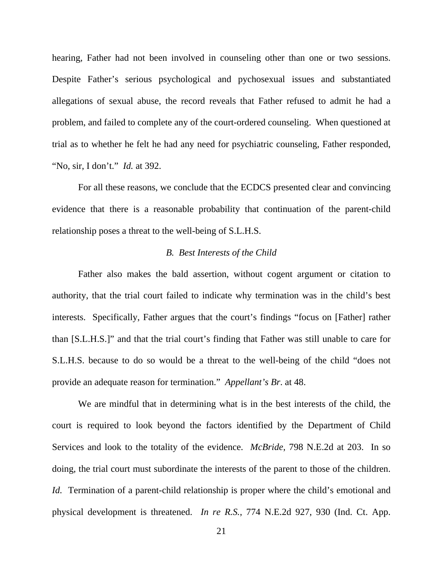hearing, Father had not been involved in counseling other than one or two sessions. Despite Father's serious psychological and pychosexual issues and substantiated allegations of sexual abuse, the record reveals that Father refused to admit he had a problem, and failed to complete any of the court-ordered counseling. When questioned at trial as to whether he felt he had any need for psychiatric counseling, Father responded, "No, sir, I don't." *Id.* at 392.

 For all these reasons, we conclude that the ECDCS presented clear and convincing evidence that there is a reasonable probability that continuation of the parent-child relationship poses a threat to the well-being of S.L.H.S.

# *B. Best Interests of the Child*

 Father also makes the bald assertion, without cogent argument or citation to authority, that the trial court failed to indicate why termination was in the child's best interests. Specifically, Father argues that the court's findings "focus on [Father] rather than [S.L.H.S.]" and that the trial court's finding that Father was still unable to care for S.L.H.S. because to do so would be a threat to the well-being of the child "does not provide an adequate reason for termination." *Appellant's Br*. at 48.

We are mindful that in determining what is in the best interests of the child, the court is required to look beyond the factors identified by the Department of Child Services and look to the totality of the evidence. *McBride*, 798 N.E.2d at 203. In so doing, the trial court must subordinate the interests of the parent to those of the children. *Id.* Termination of a parent-child relationship is proper where the child's emotional and physical development is threatened. *In re R.S.*, 774 N.E.2d 927, 930 (Ind. Ct. App.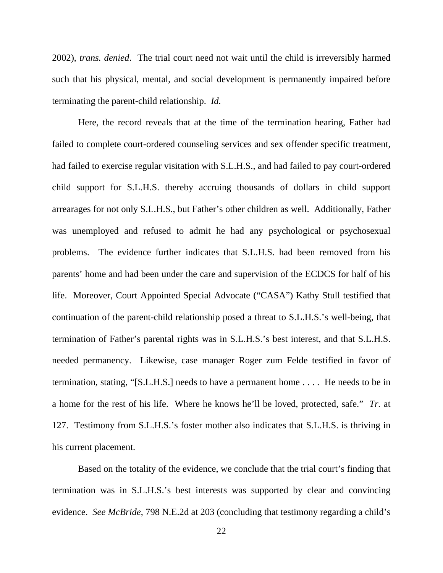2002), *trans. denied*. The trial court need not wait until the child is irreversibly harmed such that his physical, mental, and social development is permanently impaired before terminating the parent-child relationship. *Id.*

 Here, the record reveals that at the time of the termination hearing, Father had failed to complete court-ordered counseling services and sex offender specific treatment, had failed to exercise regular visitation with S.L.H.S., and had failed to pay court-ordered child support for S.L.H.S. thereby accruing thousands of dollars in child support arrearages for not only S.L.H.S., but Father's other children as well. Additionally, Father was unemployed and refused to admit he had any psychological or psychosexual problems. The evidence further indicates that S.L.H.S. had been removed from his parents' home and had been under the care and supervision of the ECDCS for half of his life. Moreover, Court Appointed Special Advocate ("CASA") Kathy Stull testified that continuation of the parent-child relationship posed a threat to S.L.H.S.'s well-being, that termination of Father's parental rights was in S.L.H.S.'s best interest, and that S.L.H.S. needed permanency. Likewise, case manager Roger zum Felde testified in favor of termination, stating, "[S.L.H.S.] needs to have a permanent home . . . . He needs to be in a home for the rest of his life. Where he knows he'll be loved, protected, safe." *Tr.* at 127. Testimony from S.L.H.S.'s foster mother also indicates that S.L.H.S. is thriving in his current placement.

Based on the totality of the evidence, we conclude that the trial court's finding that termination was in S.L.H.S.'s best interests was supported by clear and convincing evidence. *See McBride*, 798 N.E.2d at 203 (concluding that testimony regarding a child's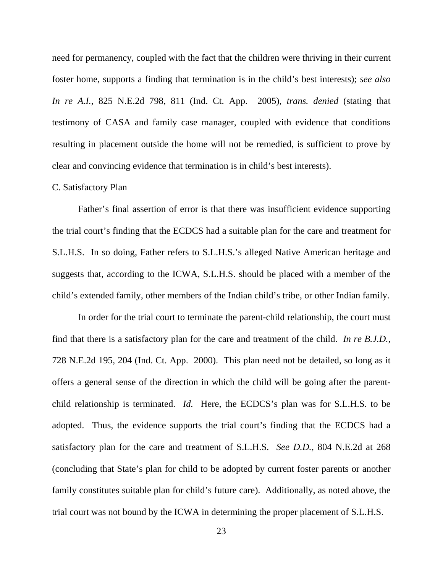need for permanency, coupled with the fact that the children were thriving in their current foster home, supports a finding that termination is in the child's best interests); *see also In re A.I.,* 825 N.E.2d 798, 811 (Ind. Ct. App. 2005), *trans. denied* (stating that testimony of CASA and family case manager, coupled with evidence that conditions resulting in placement outside the home will not be remedied, is sufficient to prove by clear and convincing evidence that termination is in child's best interests).

### C. Satisfactory Plan

Father's final assertion of error is that there was insufficient evidence supporting the trial court's finding that the ECDCS had a suitable plan for the care and treatment for S.L.H.S. In so doing, Father refers to S.L.H.S.'s alleged Native American heritage and suggests that, according to the ICWA, S.L.H.S. should be placed with a member of the child's extended family, other members of the Indian child's tribe, or other Indian family.

In order for the trial court to terminate the parent-child relationship, the court must find that there is a satisfactory plan for the care and treatment of the child. *In re B.J.D.*, 728 N.E.2d 195, 204 (Ind. Ct. App. 2000). This plan need not be detailed, so long as it offers a general sense of the direction in which the child will be going after the parentchild relationship is terminated. *Id.* Here, the ECDCS's plan was for S.L.H.S. to be adopted. Thus, the evidence supports the trial court's finding that the ECDCS had a satisfactory plan for the care and treatment of S.L.H.S. *See D.D.*, 804 N.E.2d at 268 (concluding that State's plan for child to be adopted by current foster parents or another family constitutes suitable plan for child's future care). Additionally, as noted above, the trial court was not bound by the ICWA in determining the proper placement of S.L.H.S.